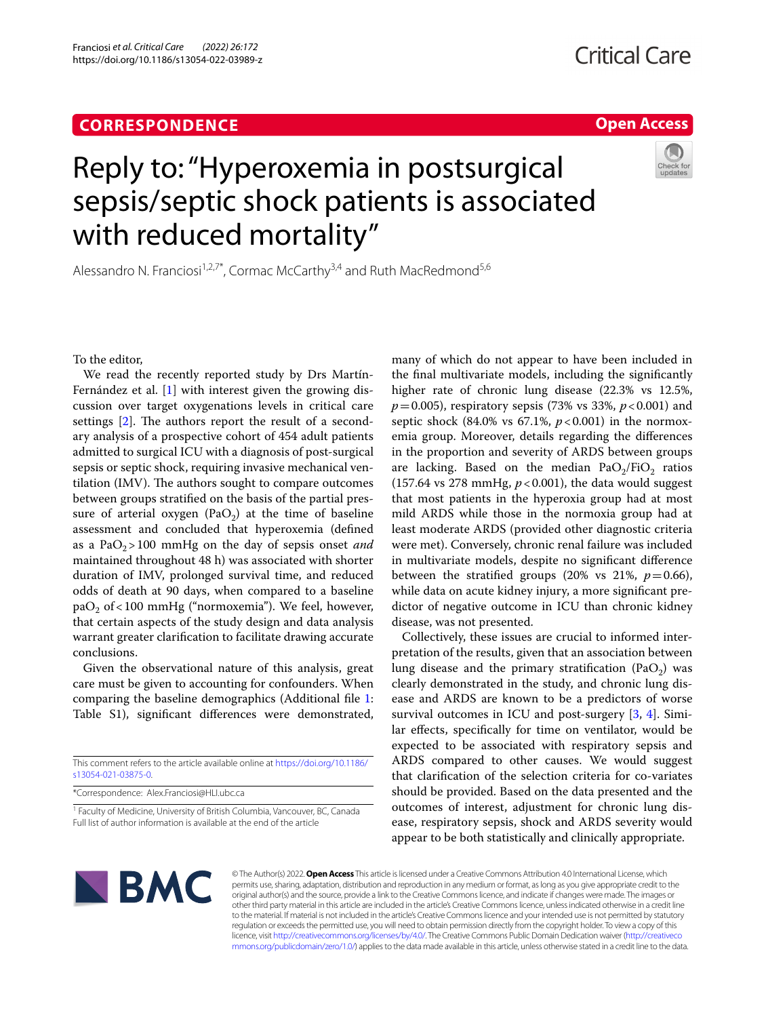# **CORRESPONDENCE**

## **Open Access**

# Reply to: "Hyperoxemia in postsurgical sepsis/septic shock patients is associated with reduced mortality"

Alessandro N. Franciosi<sup>1,2,7\*</sup>, Cormac McCarthy<sup>3,4</sup> and Ruth MacRedmond<sup>5,6</sup>

To the editor,

We read the recently reported study by Drs Martín-Fernández et al. [\[1](#page-2-0)] with interest given the growing discussion over target oxygenations levels in critical care settings  $[2]$  $[2]$ . The authors report the result of a secondary analysis of a prospective cohort of 454 adult patients admitted to surgical ICU with a diagnosis of post-surgical sepsis or septic shock, requiring invasive mechanical ventilation (IMV). The authors sought to compare outcomes between groups stratifed on the basis of the partial pressure of arterial oxygen (PaO<sub>2</sub>) at the time of baseline assessment and concluded that hyperoxemia (defned as a  $PaO<sub>2</sub> > 100$  mmHg on the day of sepsis onset *and* maintained throughout 48 h) was associated with shorter duration of IMV, prolonged survival time, and reduced odds of death at 90 days, when compared to a baseline paO<sub>2</sub> of <100 mmHg ("normoxemia"). We feel, however, that certain aspects of the study design and data analysis warrant greater clarifcation to facilitate drawing accurate conclusions.

Given the observational nature of this analysis, great care must be given to accounting for confounders. When comparing the baseline demographics (Additional fle [1](#page-1-0): Table S1), signifcant diferences were demonstrated,

This comment refers to the article available online at [https://doi.org/10.1186/](https://doi.org/10.1186/s13054-021-03875-0) [s13054-021-03875-0](https://doi.org/10.1186/s13054-021-03875-0).

\*Correspondence: Alex.Franciosi@HLI.ubc.ca

<sup>1</sup> Faculty of Medicine, University of British Columbia, Vancouver, BC, Canada Full list of author information is available at the end of the article

many of which do not appear to have been included in the fnal multivariate models, including the signifcantly higher rate of chronic lung disease (22.3% vs 12.5%, *p*=0.005), respiratory sepsis (73% vs 33%, *p*<0.001) and septic shock (84.0% vs  $67.1\%$ ,  $p < 0.001$ ) in the normoxemia group. Moreover, details regarding the diferences in the proportion and severity of ARDS between groups are lacking. Based on the median  $PaO<sub>2</sub>/FiO<sub>2</sub>$  ratios (157.64 vs 278 mmHg,  $p < 0.001$ ), the data would suggest that most patients in the hyperoxia group had at most mild ARDS while those in the normoxia group had at least moderate ARDS (provided other diagnostic criteria were met). Conversely, chronic renal failure was included in multivariate models, despite no signifcant diference between the stratified groups (20% vs 21%,  $p=0.66$ ), while data on acute kidney injury, a more signifcant predictor of negative outcome in ICU than chronic kidney disease, was not presented.

Collectively, these issues are crucial to informed interpretation of the results, given that an association between lung disease and the primary stratification  $(PaO<sub>2</sub>)$  was clearly demonstrated in the study, and chronic lung disease and ARDS are known to be a predictors of worse survival outcomes in ICU and post-surgery [\[3](#page-2-2), [4\]](#page-2-3). Similar efects, specifcally for time on ventilator, would be expected to be associated with respiratory sepsis and ARDS compared to other causes. We would suggest that clarifcation of the selection criteria for co-variates should be provided. Based on the data presented and the outcomes of interest, adjustment for chronic lung disease, respiratory sepsis, shock and ARDS severity would appear to be both statistically and clinically appropriate.



© The Author(s) 2022. **Open Access** This article is licensed under a Creative Commons Attribution 4.0 International License, which permits use, sharing, adaptation, distribution and reproduction in any medium or format, as long as you give appropriate credit to the original author(s) and the source, provide a link to the Creative Commons licence, and indicate if changes were made. The images or other third party material in this article are included in the article's Creative Commons licence, unless indicated otherwise in a credit line to the material. If material is not included in the article's Creative Commons licence and your intended use is not permitted by statutory regulation or exceeds the permitted use, you will need to obtain permission directly from the copyright holder. To view a copy of this licence, visit [http://creativecommons.org/licenses/by/4.0/.](http://creativecommons.org/licenses/by/4.0/) The Creative Commons Public Domain Dedication waiver ([http://creativeco](http://creativecommons.org/publicdomain/zero/1.0/) [mmons.org/publicdomain/zero/1.0/](http://creativecommons.org/publicdomain/zero/1.0/)) applies to the data made available in this article, unless otherwise stated in a credit line to the data.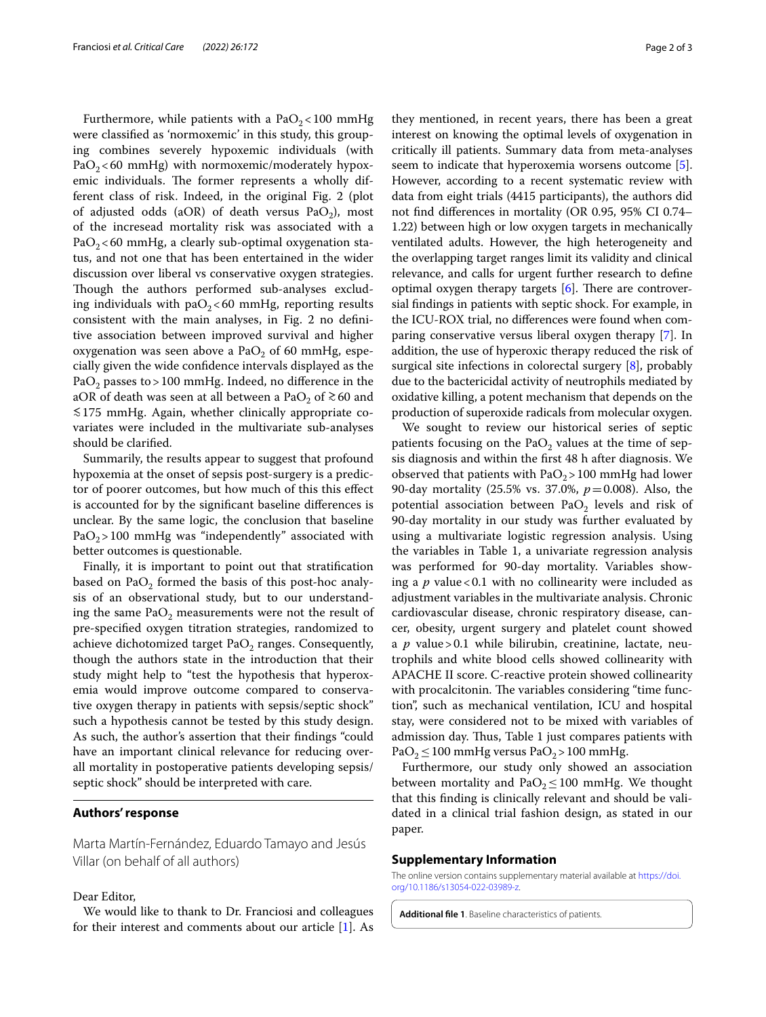Furthermore, while patients with a  $PaO<sub>2</sub> < 100$  mmHg were classifed as 'normoxemic' in this study, this grouping combines severely hypoxemic individuals (with  $PaO<sub>2</sub> < 60$  mmHg) with normoxemic/moderately hypoxemic individuals. The former represents a wholly different class of risk. Indeed, in the original Fig. 2 (plot of adjusted odds (aOR) of death versus  $PaO<sub>2</sub>$ ), most of the incresead mortality risk was associated with a PaO<sub>2</sub> < 60 mmHg, a clearly sub-optimal oxygenation status, and not one that has been entertained in the wider discussion over liberal vs conservative oxygen strategies. Though the authors performed sub-analyses excluding individuals with  $paO<sub>2</sub> < 60$  mmHg, reporting results consistent with the main analyses, in Fig. 2 no defnitive association between improved survival and higher oxygenation was seen above a  $PaO<sub>2</sub>$  of 60 mmHg, especially given the wide confdence intervals displayed as the PaO<sub>2</sub> passes to > 100 mmHg. Indeed, no difference in the aOR of death was seen at all between a PaO<sub>2</sub> of  $\approx$  60 and ≲175 mmHg. Again, whether clinically appropriate covariates were included in the multivariate sub-analyses should be clarifed.

Summarily, the results appear to suggest that profound hypoxemia at the onset of sepsis post-surgery is a predictor of poorer outcomes, but how much of this this efect is accounted for by the signifcant baseline diferences is unclear. By the same logic, the conclusion that baseline  $PaO<sub>2</sub>$  > 100 mmHg was "independently" associated with better outcomes is questionable.

Finally, it is important to point out that stratifcation based on PaO<sub>2</sub> formed the basis of this post-hoc analysis of an observational study, but to our understanding the same  $PaO<sub>2</sub>$  measurements were not the result of pre-specifed oxygen titration strategies, randomized to achieve dichotomized target  $PaO<sub>2</sub>$  ranges. Consequently, though the authors state in the introduction that their study might help to "test the hypothesis that hyperoxemia would improve outcome compared to conservative oxygen therapy in patients with sepsis/septic shock" such a hypothesis cannot be tested by this study design. As such, the author's assertion that their fndings "could have an important clinical relevance for reducing overall mortality in postoperative patients developing sepsis/ septic shock" should be interpreted with care.

### **Authors' response**

Marta Martín-Fernández, Eduardo Tamayo and Jesús Villar (on behalf of all authors)

#### Dear Editor,

We would like to thank to Dr. Franciosi and colleagues for their interest and comments about our article [\[1](#page-2-0)]. As

they mentioned, in recent years, there has been a great interest on knowing the optimal levels of oxygenation in critically ill patients. Summary data from meta-analyses seem to indicate that hyperoxemia worsens outcome [\[5](#page-2-4)]. However, according to a recent systematic review with data from eight trials (4415 participants), the authors did not fnd diferences in mortality (OR 0.95, 95% CI 0.74– 1.22) between high or low oxygen targets in mechanically ventilated adults. However, the high heterogeneity and the overlapping target ranges limit its validity and clinical relevance, and calls for urgent further research to defne optimal oxygen therapy targets  $[6]$  $[6]$  $[6]$ . There are controversial fndings in patients with septic shock. For example, in the ICU-ROX trial, no diferences were found when comparing conservative versus liberal oxygen therapy [\[7\]](#page-2-6). In addition, the use of hyperoxic therapy reduced the risk of surgical site infections in colorectal surgery [[8\]](#page-2-7), probably due to the bactericidal activity of neutrophils mediated by oxidative killing, a potent mechanism that depends on the production of superoxide radicals from molecular oxygen.

We sought to review our historical series of septic patients focusing on the PaO<sub>2</sub> values at the time of sepsis diagnosis and within the frst 48 h after diagnosis. We observed that patients with  $PaO<sub>2</sub> > 100$  mmHg had lower 90-day mortality (25.5% vs. 37.0%, *p*=0.008). Also, the potential association between  $PaO<sub>2</sub>$  levels and risk of 90-day mortality in our study was further evaluated by using a multivariate logistic regression analysis. Using the variables in Table 1, a univariate regression analysis was performed for 90-day mortality. Variables showing a  $p$  value < 0.1 with no collinearity were included as adjustment variables in the multivariate analysis. Chronic cardiovascular disease, chronic respiratory disease, cancer, obesity, urgent surgery and platelet count showed a *p* value>0.1 while bilirubin, creatinine, lactate, neutrophils and white blood cells showed collinearity with APACHE II score. C-reactive protein showed collinearity with procalcitonin. The variables considering "time function", such as mechanical ventilation, ICU and hospital stay, were considered not to be mixed with variables of admission day. Thus, Table 1 just compares patients with PaO<sub>2</sub> ≤ 100 mmHg versus PaO<sub>2</sub> > 100 mmHg.

Furthermore, our study only showed an association between mortality and  $PaO<sub>2</sub>$  ≤ 100 mmHg. We thought that this fnding is clinically relevant and should be validated in a clinical trial fashion design, as stated in our paper.

#### **Supplementary Information**

The online version contains supplementary material available at [https://doi.](https://doi.org/10.1186/s13054-022-03989-z) [org/10.1186/s13054-022-03989-z.](https://doi.org/10.1186/s13054-022-03989-z)

<span id="page-1-0"></span>**Additional fle 1**. Baseline characteristics of patients.